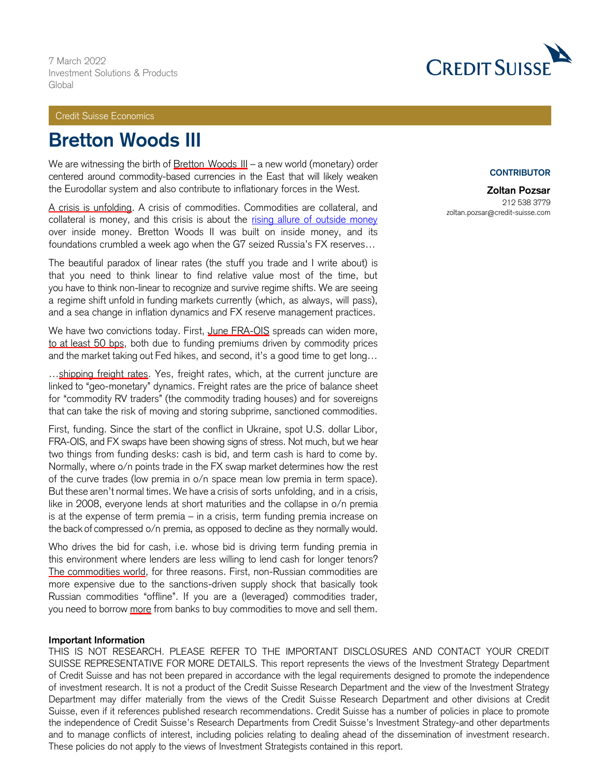## Credit Suisse Economics

# **Bretton Woods III**

We are witnessing the birth of Bretton Woods III - a new world (monetary) order centered around commodity-based currencies in the East that will likely weaken the Eurodollar system and also contribute to inflationary forces in the West.

A crisis is unfolding. A crisis of commodities. Commodities are collateral, and collateral is money, and this crisis is about the [rising allure of outside money](https://www.bloomberg.com/news/articles/2022-03-02/zoltan-pozsar-on-russia-gold-and-a-turning-point-for-the-u-s-dollar?srnd=oddlots-podcast) over inside money. Bretton Woods II was built on inside money, and its foundations crumbled a week ago when the G7 seized Russia's FX reserves…

The beautiful paradox of linear rates (the stuff you trade and I write about) is that you need to think linear to find relative value most of the time, but you have to think non-linear to recognize and survive regime shifts. We are seeing a regime shift unfold in funding markets currently (which, as always, will pass), and a sea change in inflation dynamics and FX reserve management practices.

We have two convictions today. First, June FRA-OIS spreads can widen more, to at least 50 bps, both due to funding premiums driven by commodity prices and the market taking out Fed hikes, and second, it's a good time to get long…

...shipping freight rates. Yes, freight rates, which, at the current juncture are linked to "geo-monetary" dynamics. Freight rates are the price of balance sheet for "commodity RV traders" (the commodity trading houses) and for sovereigns that can take the risk of moving and storing subprime, sanctioned commodities.

First, funding. Since the start of the conflict in Ukraine, spot U.S. dollar Libor, FRA-OIS, and FX swaps have been showing signs of stress. Not much, but we hear two things from funding desks: cash is bid, and term cash is hard to come by. Normally, where o/n points trade in the FX swap market determines how the rest of the curve trades (low premia in o/n space mean low premia in term space). But these aren't normal times. We have a crisis of sorts unfolding, and in a crisis, like in 2008, everyone lends at short maturities and the collapse in o/n premia is at the expense of term premia – in a crisis, term funding premia increase on the back of compressed o/n premia, as opposed to decline as they normally would.

Who drives the bid for cash, i.e. whose bid is driving term funding premia in this environment where lenders are less willing to lend cash for longer tenors? The commodities world, for three reasons. First, non-Russian commodities are more expensive due to the sanctions-driven supply shock that basically took Russian commodities "offline". If you are a (leveraged) commodities trader, you need to borrow more from banks to buy commodities to move and sell them.

#### **Important Information**

THIS IS NOT RESEARCH. PLEASE REFER TO THE IMPORTANT DISCLOSURES AND CONTACT YOUR CREDIT SUISSE REPRESENTATIVE FOR MORE DETAILS. This report represents the views of the Investment Strategy Department of Credit Suisse and has not been prepared in accordance with the legal requirements designed to promote the independence of investment research. It is not a product of the Credit Suisse Research Department and the view of the Investment Strategy Department may differ materially from the views of the Credit Suisse Research Department and other divisions at Credit Suisse, even if it references published research recommendations. Credit Suisse has a number of policies in place to promote the independence of Credit Suisse's Research Departments from Credit Suisse's Investment Strategy-and other departments and to manage conflicts of interest, including policies relating to dealing ahead of the dissemination of investment research. These policies do not apply to the views of Investment Strategists contained in this report.



### **CONTRIBUTOR**

**Zoltan Pozsar** 212 538 3779 zoltan.pozsar@credit-suisse.com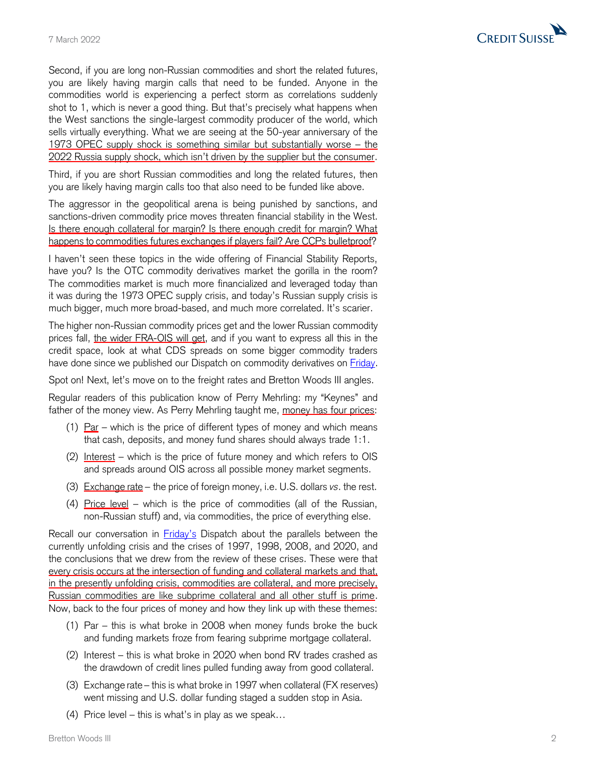

Second, if you are long non -Russian commodities and short the related future s, you are likely having margin calls that need to be funded. Anyone in the commodities world is experiencing a perfect storm as correlations suddenly shot to 1, which is never a good thing. But that's precisely what happens when the West sanctions the single -largest commodity producer of the world, which sells virtually everything. What we are seeing at the 50 -year anniversary of the 1973 OPEC supply shock is something similar but substantially worse – the 2022 Russia supply shock, which isn't driven by the supplier but the consumer.

Third, if you are short Russian commodities and long the related future s, then you are likely having margin calls too that also need to be funded like above.

The aggressor in the geopolitical arena is being punished by sanctions, and sanctions -driven commodity price moves threaten financial stability in the West. Is there enough collateral for margin? Is there enough credit for margin? What happens to commodities futures exchange s if players fail? Are CCPs bulletproof ?

I haven't seen these topics in the wide offering of Financial Stability Reports, have you? Is the OTC commodity derivatives market the gorilla in the room? The commodities market is much more financialized and leveraged today than it was during the 1973 OPEC supply crisis, and today's Russian supply crisis is much bigger, much more broad -based, and much more correlated. It's scarier.

The higher non -Russian commodity prices get and the lower Russian commodity prices fall, <u>the wider FRA-OIS will get</u>, and if you want to express all this in the credit space, look at what CDS spreads on some bigger commodity traders have done since we published our Dispatch on commodity derivatives on **Friday**.

Spot on! Next, let's move on to the freight rates and Bretton Woods III angles.

Regular readers of this publication know of Perry Mehrling: my "Keynes" and father of the money view. As Perry Mehrling taught me, money has four prices:

- (1) Par which is the price of different types of money and which means that cash, deposits, and money fund shares should always trade 1:1.
- (2) Interest which is the price of future money and which refers to OIS and spreads around OIS across all possible money market segments.
- (3) Exchange rate the price of foreign money, i.e. U.S. dollars *vs*. the rest.
- (4) Price level which is the price of commodities (all of the Russian, non -Russian stuff) and, via commodities, the price of everything else.

Recall our conversation in **[Friday's](https://plus2.credit-suisse.com/shorturlpdf.html?v=4ZL1-WTBd-V)** Dispatch about the parallels between the currently unfolding crisis and the crises of 1997, 1998, 2008, and 2020, and the conclusions that we drew from the review of these crises. These were that every crisis occurs at the intersection of funding and collateral markets and that, in the presently unfolding crisis, commodities are collateral, and more precisely, Russian commodities are like subprime collateral and all other stuff is prime. Now, back to the four prices of money and how they link up with these themes:

- (1) Par this is what broke in 2008 when money funds broke the buck and funding markets froze from fearing subprime mortgage collateral.
- (2) Interest this is what broke in 2020 when bond RV trades crashed as the drawdown of credit lines pulled funding away from good collateral.
- (3) Exchange rate this is what broke in 1997 when collateral (FX reserves) went missing and U.S. dollar funding staged a sudden stop in Asia.
- (4) Price level this is what's in play as we speak…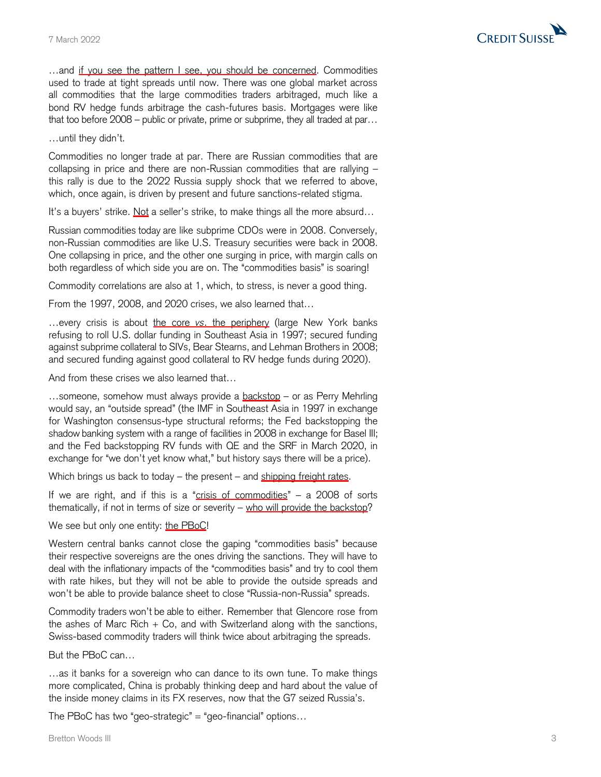

...and if you see the pattern I see, you should be concerned. Commodities used to trade at tight spreads until now. There was one global market across all commodities that the large commodities traders arbitraged, much like a bond RV hedge funds arbitrage the cash-futures basis. Mortgages were like that too before 2008 – public or private, prime or subprime, they all traded at par…

…until they didn't.

Commodities no longer trade at par. There are Russian commodities that are collapsing in price and there are non-Russian commodities that are rallying – this rally is due to the 2022 Russia supply shock that we referred to above, which, once again, is driven by present and future sanctions-related stigma.

It's a buyers' strike. Not a seller's strike, to make things all the more absurd...

Russian commodities today are like subprime CDOs were in 2008. Conversely, non-Russian commodities are like U.S. Treasury securities were back in 2008. One collapsing in price, and the other one surging in price, with margin calls on both regardless of which side you are on. The "commodities basis" is soaring!

Commodity correlations are also at 1, which, to stress, is never a good thing.

From the 1997, 2008, and 2020 crises, we also learned that…

…every crisis is about the core *vs*. the periphery (large New York banks refusing to roll U.S. dollar funding in Southeast Asia in 1997; secured funding against subprime collateral to SIVs, Bear Stearns, and Lehman Brothers in 2008; and secured funding against good collateral to RV hedge funds during 2020).

And from these crises we also learned that…

...someone, somehow must always provide a backstop - or as Perry Mehrling would say, an "outside spread" (the IMF in Southeast Asia in 1997 in exchange for Washington consensus-type structural reforms; the Fed backstopping the shadow banking system with a range of facilities in 2008 in exchange for Basel III; and the Fed backstopping RV funds with QE and the SRF in March 2020, in exchange for "we don't yet know what," but history says there will be a price).

Which brings us back to today – the present – and shipping freight rates.

If we are right, and if this is a "crisis of commodities"  $-$  a 2008 of sorts thematically, if not in terms of size or severity – who will provide the backstop?

We see but only one entity: the PBoC!

Western central banks cannot close the gaping "commodities basis" because their respective sovereigns are the ones driving the sanctions. They will have to deal with the inflationary impacts of the "commodities basis" and try to cool them with rate hikes, but they will not be able to provide the outside spreads and won't be able to provide balance sheet to close "Russia-non-Russia" spreads.

Commodity traders won't be able to either. Remember that Glencore rose from the ashes of Marc Rich  $+$  Co, and with Switzerland along with the sanctions, Swiss-based commodity traders will think twice about arbitraging the spreads.

But the PBoC can…

…as it banks for a sovereign who can dance to its own tune. To make things more complicated, China is probably thinking deep and hard about the value of the inside money claims in its FX reserves, now that the G7 seized Russia's.

The PBoC has two "geo-strategic"  $=$  "geo-financial" options...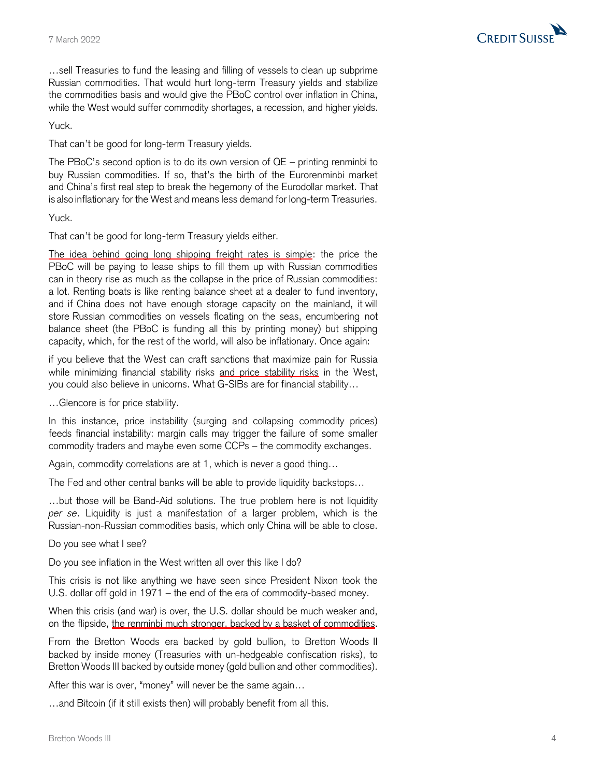

…sell Treasuries to fund the leasing and filling of vessels to clean up subprime Russian commodities. That would hurt long-term Treasury yields and stabilize the commodities basis and would give the PBoC control over inflation in China, while the West would suffer commodity shortages, a recession, and higher yields.

Yuck.

That can't be good for long-term Treasury yields.

The PBoC's second option is to do its own version of QE – printing renminbi to buy Russian commodities. If so, that's the birth of the Eurorenminbi market and China's first real step to break the hegemony of the Eurodollar market. That is also inflationary for the West and means less demand for long-term Treasuries.

Yuck.

That can't be good for long-term Treasury yields either.

The idea behind going long shipping freight rates is simple: the price the PBoC will be paying to lease ships to fill them up with Russian commodities can in theory rise as much as the collapse in the price of Russian commodities: a lot. Renting boats is like renting balance sheet at a dealer to fund inventory, and if China does not have enough storage capacity on the mainland, it will store Russian commodities on vessels floating on the seas, encumbering not balance sheet (the PBoC is funding all this by printing money) but shipping capacity, which, for the rest of the world, will also be inflationary. Once again:

if you believe that the West can craft sanctions that maximize pain for Russia while minimizing financial stability risks and price stability risks in the West, you could also believe in unicorns. What G-SIBs are for financial stability…

…Glencore is for price stability.

In this instance, price instability (surging and collapsing commodity prices) feeds financial instability: margin calls may trigger the failure of some smaller commodity traders and maybe even some CCPs – the commodity exchanges.

Again, commodity correlations are at 1, which is never a good thing…

The Fed and other central banks will be able to provide liquidity backstops…

…but those will be Band-Aid solutions. The true problem here is not liquidity *per se*. Liquidity is just a manifestation of a larger problem, which is the Russian-non-Russian commodities basis, which only China will be able to close.

Do you see what I see?

Do you see inflation in the West written all over this like I do?

This crisis is not like anything we have seen since President Nixon took the U.S. dollar off gold in 1971 – the end of the era of commodity-based money.

When this crisis (and war) is over, the U.S. dollar should be much weaker and, on the flipside, the renminbi much stronger, backed by a basket of commodities.

From the Bretton Woods era backed by gold bullion, to Bretton Woods II backed by inside money (Treasuries with un-hedgeable confiscation risks), to Bretton Woods III backed by outside money (gold bullion and other commodities).

After this war is over, "money" will never be the same again…

…and Bitcoin (if it still exists then) will probably benefit from all this.